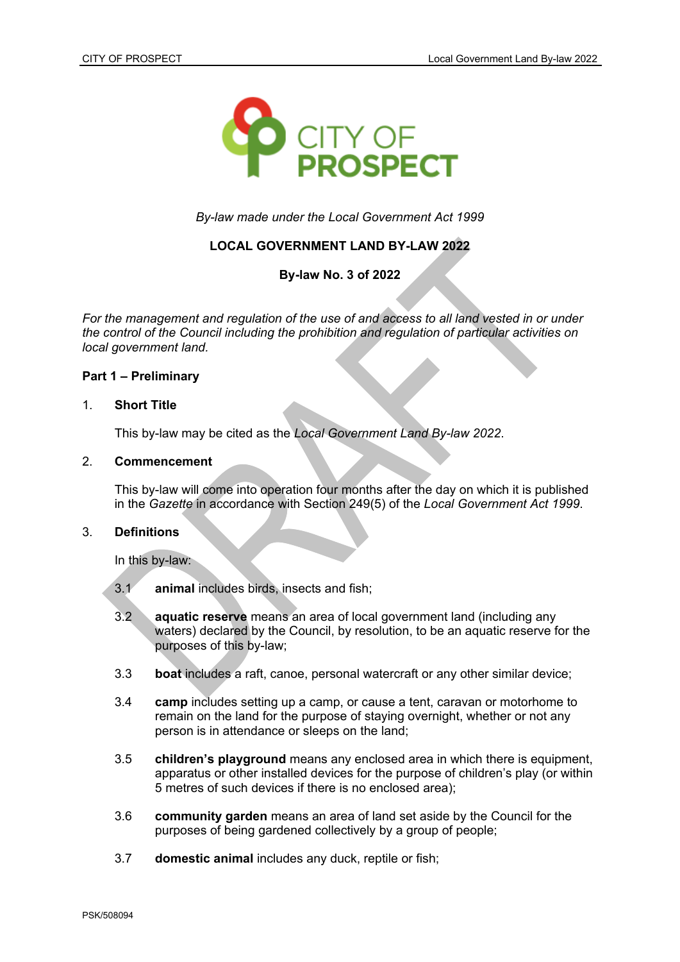

*By-law made under the Local Government Act 1999*

# **LOCAL GOVERNMENT LAND BY-LAW 2022**

### **By-law No. 3 of 2022**

*For the management and regulation of the use of and access to all land vested in or under the control of the Council including the prohibition and regulation of particular activities on local government land.*

#### **Part 1 – Preliminary**

#### 1. **Short Title**

This by-law may be cited as the *Local Government Land By-law 2022*.

# 2. **Commencement**

This by-law will come into operation four months after the day on which it is published in the *Gazette* in accordance with Section 249(5) of the *Local Government Act 1999*.

### 3. **Definitions**

In this by-law:

- 3.1 **animal** includes birds, insects and fish;
- 3.2 **aquatic reserve** means an area of local government land (including any waters) declared by the Council, by resolution, to be an aquatic reserve for the purposes of this by-law;
- 3.3 **boat** includes a raft, canoe, personal watercraft or any other similar device;
- 3.4 **camp** includes setting up a camp, or cause a tent, caravan or motorhome to remain on the land for the purpose of staying overnight, whether or not any person is in attendance or sleeps on the land;
- 3.5 **children's playground** means any enclosed area in which there is equipment, apparatus or other installed devices for the purpose of children's play (or within 5 metres of such devices if there is no enclosed area);
- 3.6 **community garden** means an area of land set aside by the Council for the purposes of being gardened collectively by a group of people;
- 3.7 **domestic animal** includes any duck, reptile or fish;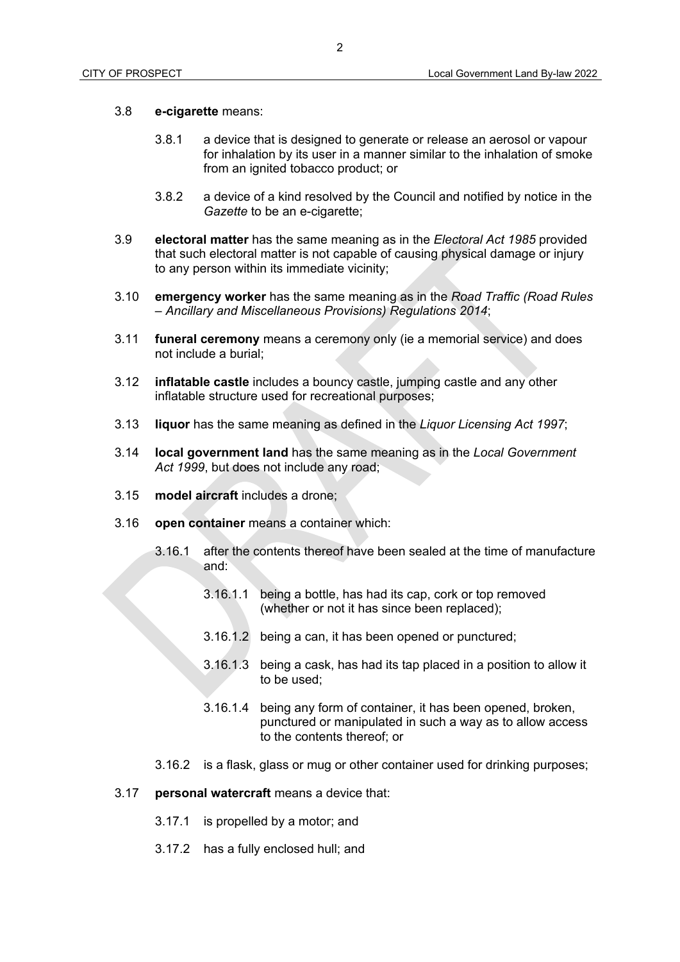### 3.8 **e-cigarette** means:

- 3.8.1 a device that is designed to generate or release an aerosol or vapour for inhalation by its user in a manner similar to the inhalation of smoke from an ignited tobacco product; or
- 3.8.2 a device of a kind resolved by the Council and notified by notice in the *Gazette* to be an e-cigarette;
- 3.9 **electoral matter** has the same meaning as in the *Electoral Act 1985* provided that such electoral matter is not capable of causing physical damage or injury to any person within its immediate vicinity;
- 3.10 **emergency worker** has the same meaning as in the *Road Traffic (Road Rules – Ancillary and Miscellaneous Provisions) Regulations 2014*;
- 3.11 **funeral ceremony** means a ceremony only (ie a memorial service) and does not include a burial;
- 3.12 **inflatable castle** includes a bouncy castle, jumping castle and any other inflatable structure used for recreational purposes;
- 3.13 **liquor** has the same meaning as defined in the *Liquor Licensing Act 1997*;
- 3.14 **local government land** has the same meaning as in the *Local Government Act 1999*, but does not include any road;
- 3.15 **model aircraft** includes a drone;
- 3.16 **open container** means a container which:
	- 3.16.1 after the contents thereof have been sealed at the time of manufacture and:
		- 3.16.1.1 being a bottle, has had its cap, cork or top removed (whether or not it has since been replaced);
		- 3.16.1.2 being a can, it has been opened or punctured;
		- 3.16.1.3 being a cask, has had its tap placed in a position to allow it to be used;
		- 3.16.1.4 being any form of container, it has been opened, broken, punctured or manipulated in such a way as to allow access to the contents thereof; or
	- 3.16.2 is a flask, glass or mug or other container used for drinking purposes;

#### 3.17 **personal watercraft** means a device that:

- 3.17.1 is propelled by a motor; and
- 3.17.2 has a fully enclosed hull; and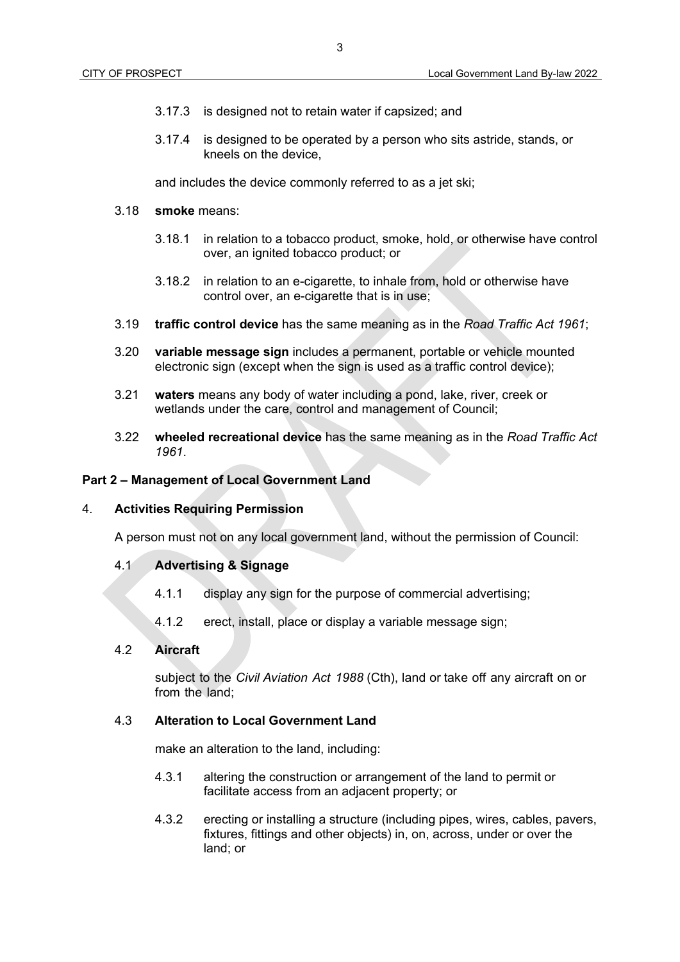- 3.17.3 is designed not to retain water if capsized; and
- 3.17.4 is designed to be operated by a person who sits astride, stands, or kneels on the device,

and includes the device commonly referred to as a jet ski;

- 3.18 **smoke** means:
	- 3.18.1 in relation to a tobacco product, smoke, hold, or otherwise have control over, an ignited tobacco product; or
	- 3.18.2 in relation to an e-cigarette, to inhale from, hold or otherwise have control over, an e-cigarette that is in use;
- 3.19 **traffic control device** has the same meaning as in the *Road Traffic Act 1961*;
- 3.20 **variable message sign** includes a permanent, portable or vehicle mounted electronic sign (except when the sign is used as a traffic control device);
- 3.21 **waters** means any body of water including a pond, lake, river, creek or wetlands under the care, control and management of Council;
- 3.22 **wheeled recreational device** has the same meaning as in the *Road Traffic Act 1961*.

#### **Part 2 – Management of Local Government Land**

### 4. **Activities Requiring Permission**

A person must not on any local government land, without the permission of Council:

#### 4.1 **Advertising & Signage**

- 4.1.1 display any sign for the purpose of commercial advertising;
- 4.1.2 erect, install, place or display a variable message sign;

# 4.2 **Aircraft**

subject to the *Civil Aviation Act 1988* (Cth), land or take off any aircraft on or from the land;

# 4.3 **Alteration to Local Government Land**

make an alteration to the land, including:

- 4.3.1 altering the construction or arrangement of the land to permit or facilitate access from an adjacent property; or
- 4.3.2 erecting or installing a structure (including pipes, wires, cables, pavers, fixtures, fittings and other objects) in, on, across, under or over the land; or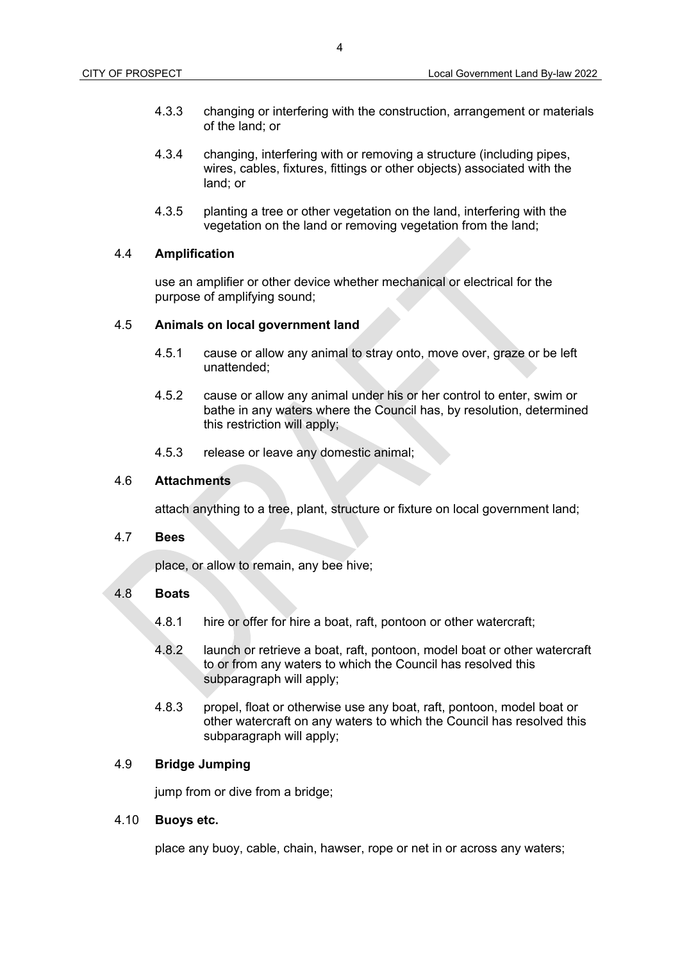- 4.3.3 changing or interfering with the construction, arrangement or materials of the land; or
- 4.3.4 changing, interfering with or removing a structure (including pipes, wires, cables, fixtures, fittings or other objects) associated with the land; or
- 4.3.5 planting a tree or other vegetation on the land, interfering with the vegetation on the land or removing vegetation from the land;

#### 4.4 **Amplification**

use an amplifier or other device whether mechanical or electrical for the purpose of amplifying sound;

#### 4.5 **Animals on local government land**

- 4.5.1 cause or allow any animal to stray onto, move over, graze or be left unattended;
- 4.5.2 cause or allow any animal under his or her control to enter, swim or bathe in any waters where the Council has, by resolution, determined this restriction will apply;
- 4.5.3 release or leave any domestic animal;

#### 4.6 **Attachments**

attach anything to a tree, plant, structure or fixture on local government land;

#### 4.7 **Bees**

place, or allow to remain, any bee hive;

#### 4.8 **Boats**

- 4.8.1 hire or offer for hire a boat, raft, pontoon or other watercraft;
- 4.8.2 launch or retrieve a boat, raft, pontoon, model boat or other watercraft to or from any waters to which the Council has resolved this subparagraph will apply;
- 4.8.3 propel, float or otherwise use any boat, raft, pontoon, model boat or other watercraft on any waters to which the Council has resolved this subparagraph will apply;

### 4.9 **Bridge Jumping**

jump from or dive from a bridge;

#### 4.10 **Buoys etc.**

place any buoy, cable, chain, hawser, rope or net in or across any waters;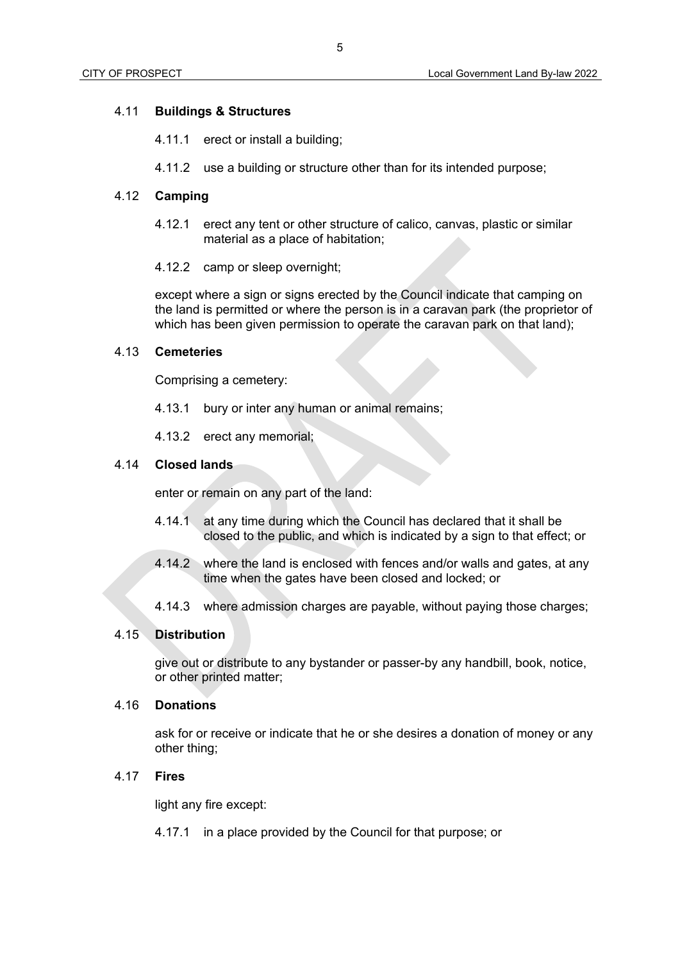### 4.11 **Buildings & Structures**

- 4.11.1 erect or install a building;
- 4.11.2 use a building or structure other than for its intended purpose;

# 4.12 **Camping**

- 4.12.1 erect any tent or other structure of calico, canvas, plastic or similar material as a place of habitation;
- 4.12.2 camp or sleep overnight;

except where a sign or signs erected by the Council indicate that camping on the land is permitted or where the person is in a caravan park (the proprietor of which has been given permission to operate the caravan park on that land);

### 4.13 **Cemeteries**

Comprising a cemetery:

- 4.13.1 bury or inter any human or animal remains;
- 4.13.2 erect any memorial;

### 4.14 **Closed lands**

enter or remain on any part of the land:

- 4.14.1 at any time during which the Council has declared that it shall be closed to the public, and which is indicated by a sign to that effect; or
- 4.14.2 where the land is enclosed with fences and/or walls and gates, at any time when the gates have been closed and locked; or
- 4.14.3 where admission charges are payable, without paying those charges;

### 4.15 **Distribution**

give out or distribute to any bystander or passer-by any handbill, book, notice, or other printed matter;

# 4.16 **Donations**

ask for or receive or indicate that he or she desires a donation of money or any other thing;

### 4.17 **Fires**

light any fire except:

4.17.1 in a place provided by the Council for that purpose; or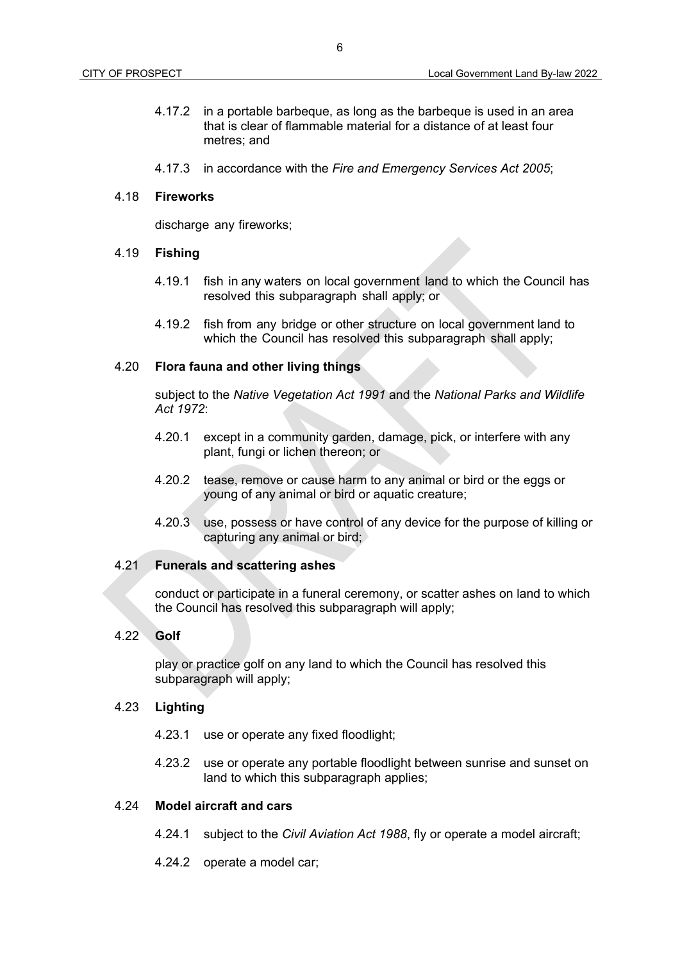- 4.17.2 in a portable barbeque, as long as the barbeque is used in an area that is clear of flammable material for a distance of at least four metres; and
- 4.17.3 in accordance with the *Fire and Emergency Services Act 2005*;

#### 4.18 **Fireworks**

discharge any fireworks;

#### 4.19 **Fishing**

- 4.19.1 fish in any waters on local government land to which the Council has resolved this subparagraph shall apply; or
- 4.19.2 fish from any bridge or other structure on local government land to which the Council has resolved this subparagraph shall apply;

#### 4.20 **Flora fauna and other living things**

subject to the *Native Vegetation Act 1991* and the *National Parks and Wildlife Act 1972*:

- 4.20.1 except in a community garden, damage, pick, or interfere with any plant, fungi or lichen thereon; or
- 4.20.2 tease, remove or cause harm to any animal or bird or the eggs or young of any animal or bird or aquatic creature;
- 4.20.3 use, possess or have control of any device for the purpose of killing or capturing any animal or bird;

### 4.21 **Funerals and scattering ashes**

conduct or participate in a funeral ceremony, or scatter ashes on land to which the Council has resolved this subparagraph will apply;

#### 4.22 **Golf**

play or practice golf on any land to which the Council has resolved this subparagraph will apply;

### 4.23 **Lighting**

- 4.23.1 use or operate any fixed floodlight;
- 4.23.2 use or operate any portable floodlight between sunrise and sunset on land to which this subparagraph applies;

# 4.24 **Model aircraft and cars**

- 4.24.1 subject to the *Civil Aviation Act 1988*, fly or operate a model aircraft;
- 4.24.2 operate a model car;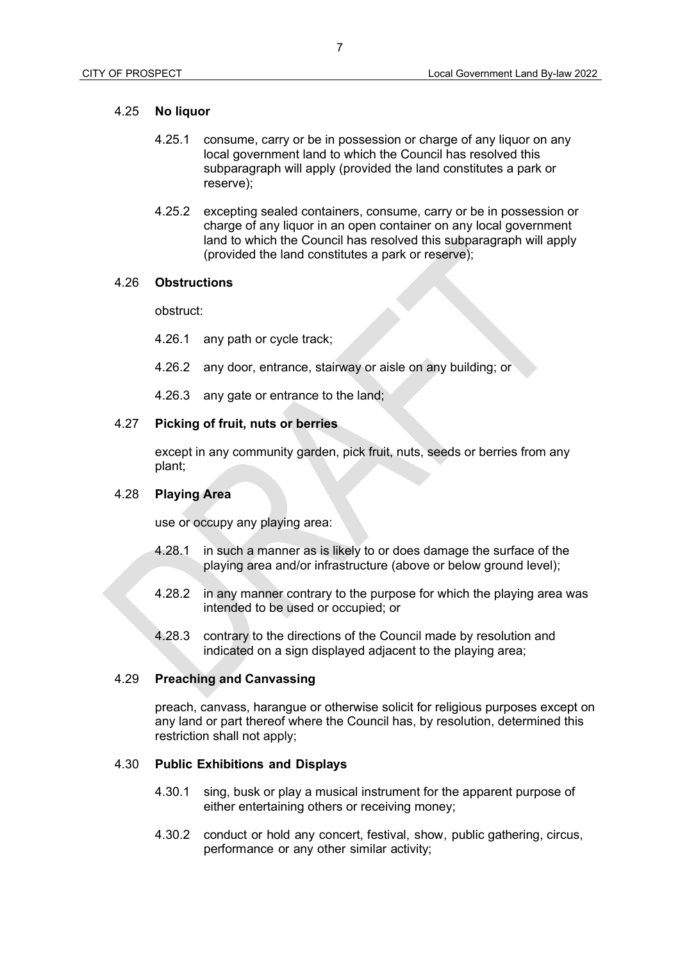### 4.25 **No liquor**

- 4.25.1 consume, carry or be in possession or charge of any liquor on any local government land to which the Council has resolved this subparagraph will apply (provided the land constitutes a park or reserve);
- 4.25.2 excepting sealed containers, consume, carry or be in possession or charge of any liquor in an open container on any local government land to which the Council has resolved this subparagraph will apply (provided the land constitutes a park or reserve);

#### 4.26 **Obstructions**

obstruct:

- 4.26.1 any path or cycle track;
- 4.26.2 any door, entrance, stairway or aisle on any building; or
- 4.26.3 any gate or entrance to the land;

#### 4.27 **Picking of fruit, nuts or berries**

except in any community garden, pick fruit, nuts, seeds or berries from any plant;

#### 4.28 **Playing Area**

use or occupy any playing area:

- 4.28.1 in such a manner as is likely to or does damage the surface of the playing area and/or infrastructure (above or below ground level);
- 4.28.2 in any manner contrary to the purpose for which the playing area was intended to be used or occupied; or
- 4.28.3 contrary to the directions of the Council made by resolution and indicated on a sign displayed adjacent to the playing area;

## 4.29 **Preaching and Canvassing**

preach, canvass, harangue or otherwise solicit for religious purposes except on any land or part thereof where the Council has, by resolution, determined this restriction shall not apply;

### 4.30 **Public Exhibitions and Displays**

- 4.30.1 sing, busk or play a musical instrument for the apparent purpose of either entertaining others or receiving money;
- 4.30.2 conduct or hold any concert, festival, show, public gathering, circus, performance or any other similar activity;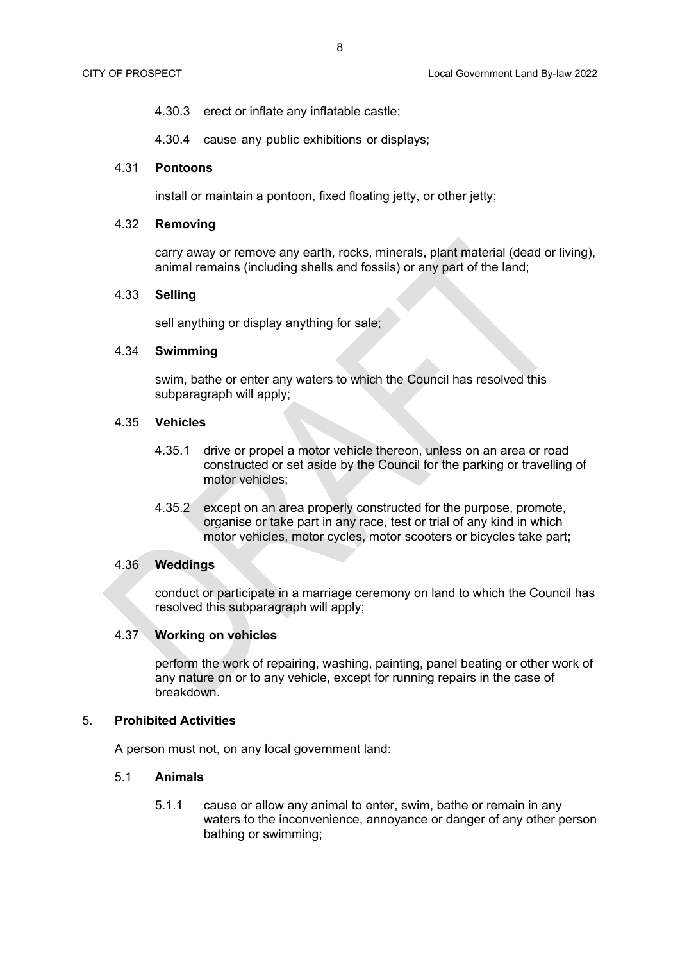- 4.30.3 erect or inflate any inflatable castle;
- 4.30.4 cause any public exhibitions or displays;

#### 4.31 **Pontoons**

install or maintain a pontoon, fixed floating jetty, or other jetty;

# 4.32 **Removing**

carry away or remove any earth, rocks, minerals, plant material (dead or living), animal remains (including shells and fossils) or any part of the land;

#### 4.33 **Selling**

sell anything or display anything for sale;

### 4.34 **Swimming**

swim, bathe or enter any waters to which the Council has resolved this subparagraph will apply;

# 4.35 **Vehicles**

- 4.35.1 drive or propel a motor vehicle thereon, unless on an area or road constructed or set aside by the Council for the parking or travelling of motor vehicles;
- 4.35.2 except on an area properly constructed for the purpose, promote, organise or take part in any race, test or trial of any kind in which motor vehicles, motor cycles, motor scooters or bicycles take part;

# 4.36 **Weddings**

conduct or participate in a marriage ceremony on land to which the Council has resolved this subparagraph will apply;

### 4.37 **Working on vehicles**

perform the work of repairing, washing, painting, panel beating or other work of any nature on or to any vehicle, except for running repairs in the case of breakdown.

# 5. **Prohibited Activities**

A person must not, on any local government land:

#### 5.1 **Animals**

5.1.1 cause or allow any animal to enter, swim, bathe or remain in any waters to the inconvenience, annoyance or danger of any other person bathing or swimming;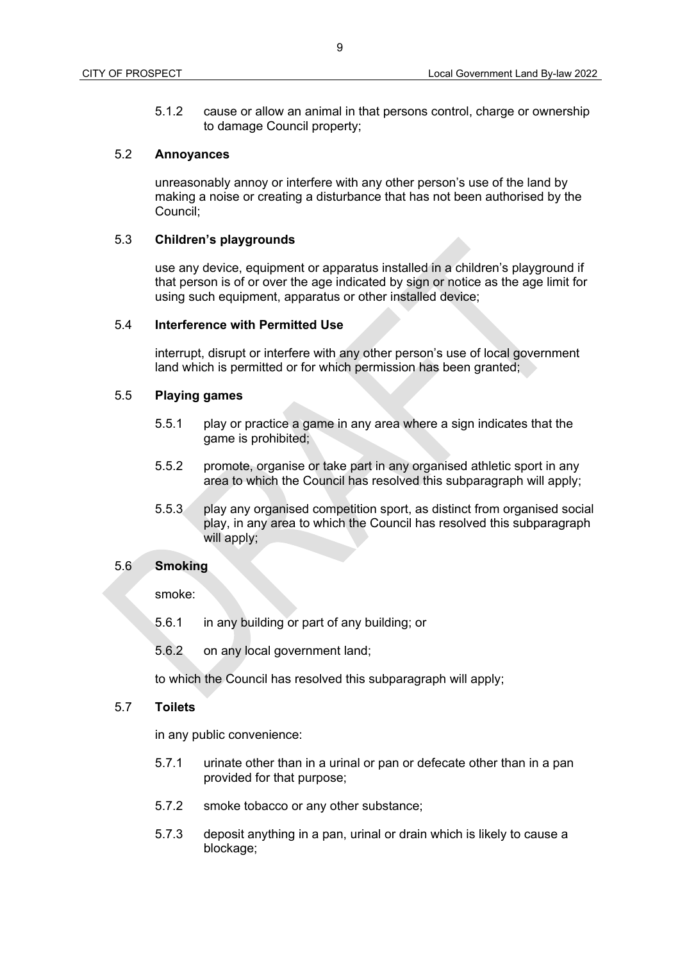5.1.2 cause or allow an animal in that persons control, charge or ownership to damage Council property;

### 5.2 **Annoyances**

unreasonably annoy or interfere with any other person's use of the land by making a noise or creating a disturbance that has not been authorised by the Council;

#### 5.3 **Children's playgrounds**

use any device, equipment or apparatus installed in a children's playground if that person is of or over the age indicated by sign or notice as the age limit for using such equipment, apparatus or other installed device;

#### 5.4 **Interference with Permitted Use**

interrupt, disrupt or interfere with any other person's use of local government land which is permitted or for which permission has been granted;

# 5.5 **Playing games**

- 5.5.1 play or practice a game in any area where a sign indicates that the game is prohibited;
- 5.5.2 promote, organise or take part in any organised athletic sport in any area to which the Council has resolved this subparagraph will apply;
- 5.5.3 play any organised competition sport, as distinct from organised social play, in any area to which the Council has resolved this subparagraph will apply;

### 5.6 **Smoking**

smoke:

- 5.6.1 in any building or part of any building; or
- 5.6.2 on any local government land;

to which the Council has resolved this subparagraph will apply;

# 5.7 **Toilets**

in any public convenience:

- 5.7.1 urinate other than in a urinal or pan or defecate other than in a pan provided for that purpose;
- 5.7.2 smoke tobacco or any other substance;
- 5.7.3 deposit anything in a pan, urinal or drain which is likely to cause a blockage;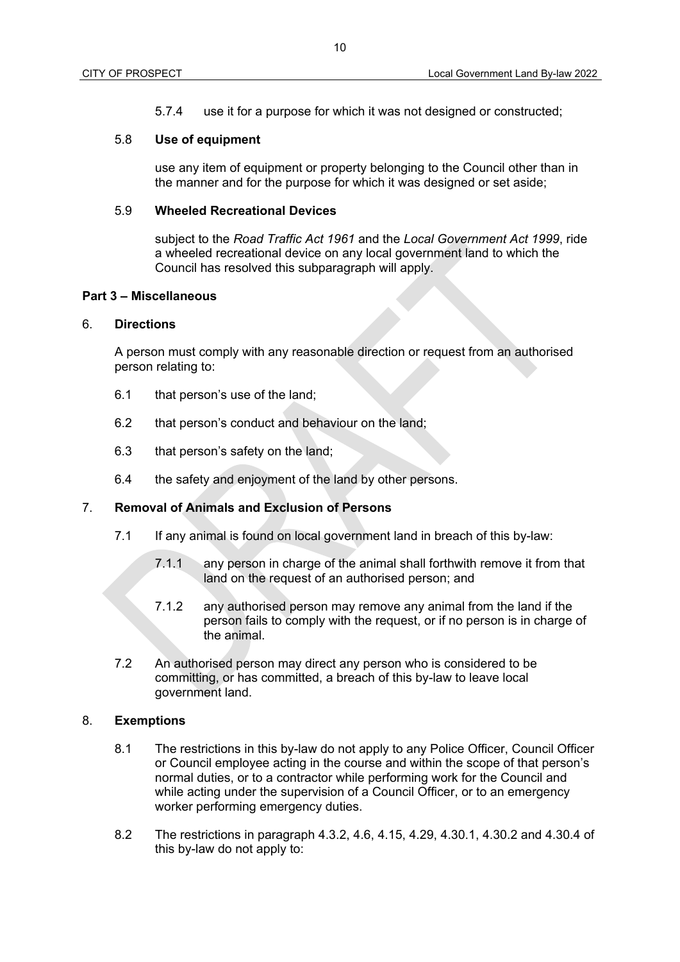5.7.4 use it for a purpose for which it was not designed or constructed;

# 5.8 **Use of equipment**

use any item of equipment or property belonging to the Council other than in the manner and for the purpose for which it was designed or set aside;

# 5.9 **Wheeled Recreational Devices**

subject to the *Road Traffic Act 1961* and the *Local Government Act 1999*, ride a wheeled recreational device on any local government land to which the Council has resolved this subparagraph will apply.

### **Part 3 – Miscellaneous**

### 6. **Directions**

A person must comply with any reasonable direction or request from an authorised person relating to:

- 6.1 that person's use of the land;
- 6.2 that person's conduct and behaviour on the land;
- 6.3 that person's safety on the land;
- 6.4 the safety and enjoyment of the land by other persons.

# 7. **Removal of Animals and Exclusion of Persons**

- 7.1 If any animal is found on local government land in breach of this by-law:
	- 7.1.1 any person in charge of the animal shall forthwith remove it from that land on the request of an authorised person; and
	- 7.1.2 any authorised person may remove any animal from the land if the person fails to comply with the request, or if no person is in charge of the animal.
- 7.2 An authorised person may direct any person who is considered to be committing, or has committed, a breach of this by-law to leave local government land.

# 8. **Exemptions**

- 8.1 The restrictions in this by-law do not apply to any Police Officer, Council Officer or Council employee acting in the course and within the scope of that person's normal duties, or to a contractor while performing work for the Council and while acting under the supervision of a Council Officer, or to an emergency worker performing emergency duties.
- 8.2 The restrictions in paragraph 4.3.2, 4.6, 4.15, 4.29, 4.30.1, 4.30.2 and 4.30.4 of this by-law do not apply to: